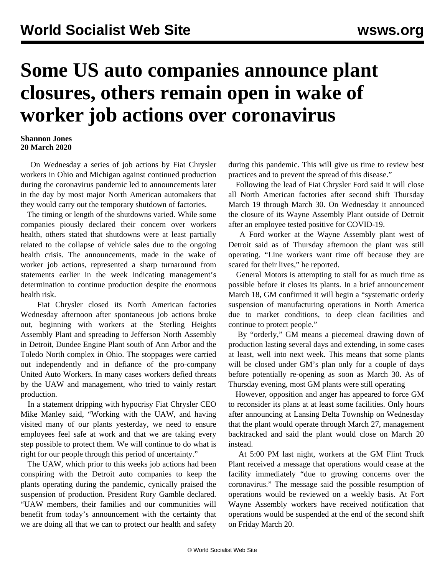## **Some US auto companies announce plant closures, others remain open in wake of worker job actions over coronavirus**

## **Shannon Jones 20 March 2020**

 On Wednesday a series of [job actions](/en/articles/2020/03/19/auto-m19.html) by Fiat Chrysler workers in Ohio and Michigan against continued production during the coronavirus pandemic led to announcements later in the day by most major North American automakers that they would carry out the temporary shutdown of factories.

 The timing or length of the shutdowns varied. While some companies piously declared their concern over workers health, others stated that shutdowns were at least partially related to the collapse of vehicle sales due to the ongoing health crisis. The announcements, made in the wake of worker job actions, represented a sharp turnaround from statements earlier in the week indicating management's determination to continue production despite the enormous health risk.

 Fiat Chrysler closed its North American factories Wednesday afternoon after spontaneous job actions broke out, beginning with workers at the Sterling Heights Assembly Plant and spreading to Jefferson North Assembly in Detroit, Dundee Engine Plant south of Ann Arbor and the Toledo North complex in Ohio. The stoppages were carried out independently and in defiance of the pro-company United Auto Workers. In many cases workers defied threats by the UAW and management, who tried to vainly restart production.

 In a statement dripping with hypocrisy Fiat Chrysler CEO Mike Manley said, "Working with the UAW, and having visited many of our plants yesterday, we need to ensure employees feel safe at work and that we are taking every step possible to protect them. We will continue to do what is right for our people through this period of uncertainty."

 The UAW, which prior to this weeks job actions had been conspiring with the Detroit auto companies to keep the plants operating during the pandemic, cynically praised the suspension of production. President Rory Gamble declared. "UAW members, their families and our communities will benefit from today's announcement with the certainty that we are doing all that we can to protect our health and safety during this pandemic. This will give us time to review best practices and to prevent the spread of this disease."

 Following the lead of Fiat Chrysler Ford said it will close all North American factories after second shift Thursday March 19 through March 30. On Wednesday it announced the closure of its Wayne Assembly Plant outside of Detroit after an employee tested positive for COVID-19.

 A Ford worker at the Wayne Assembly plant west of Detroit said as of Thursday afternoon the plant was still operating. "Line workers want time off because they are scared for their lives," he reported.

 General Motors is attempting to stall for as much time as possible before it closes its plants. In a brief announcement March 18, GM confirmed it will begin a "systematic orderly suspension of manufacturing operations in North America due to market conditions, to deep clean facilities and continue to protect people."

 By "orderly," GM means a piecemeal drawing down of production lasting several days and extending, in some cases at least, well into next week. This means that some plants will be closed under GM's plan only for a couple of days before potentially re-opening as soon as March 30. As of Thursday evening, most GM plants were still operating

 However, opposition and anger has appeared to force GM to reconsider its plans at at least some facilities. Only hours after announcing at Lansing Delta Township on Wednesday that the plant would operate through March 27, management backtracked and said the plant would close on March 20 instead.

 At 5:00 PM last night, workers at the GM Flint Truck Plant received a message that operations would cease at the facility immediately "due to growing concerns over the coronavirus." The message said the possible resumption of operations would be reviewed on a weekly basis. At Fort Wayne Assembly workers have received notification that operations would be suspended at the end of the second shift on Friday March 20.